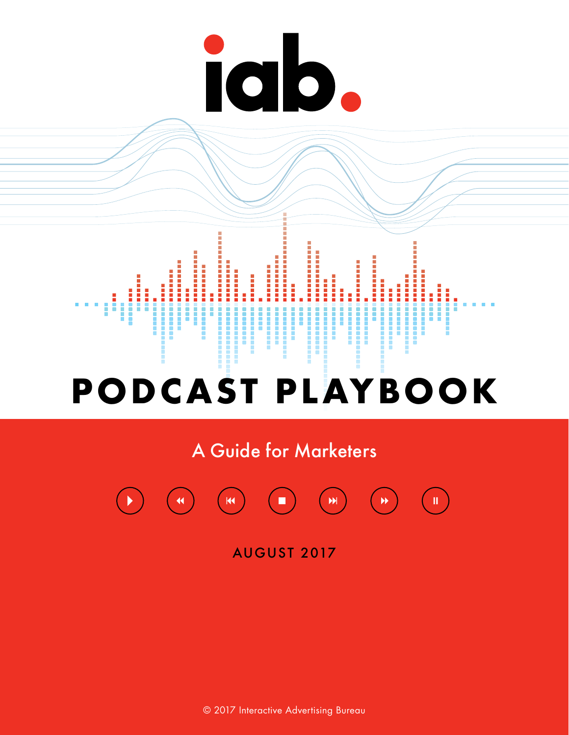# iab.



A Guide for Marketers



AUGUST 2017

© 2017 Interactive Advertising Bureau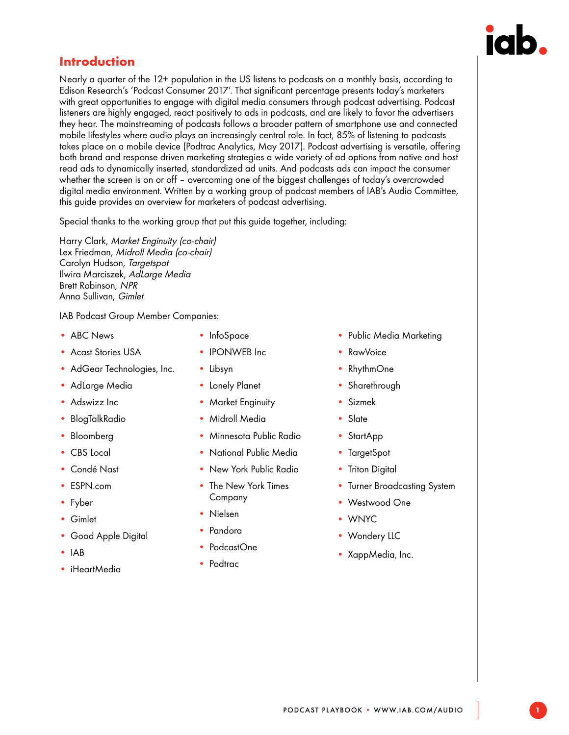

### <span id="page-1-0"></span>**Introduction**

Nearly a quarter of the 12+ population in the US listens to podcasts on a monthly basis, according to Edison Research's 'Podcast Consumer 2017'. That significant percentage presents today's marketers with great opportunities to engage with digital media consumers through podcast advertising. Podcast listeners are highly engaged, react positively to ads in podcasts, and are likely to favor the advertisers they hear. The mainstreaming of podcasts follows a broader pattern of smartphone use and connected mobile lifestyles where audio plays an increasingly central role. In fact, 85% of listening to podcasts takes place on a mobile device (Podtrac Analytics, May 2017). Podcast advertising is versatile, offering both brand and response driven marketing strategies a wide variety of ad options from native and host read ads to dynamically inserted, standardized ad units. And podcasts ads can impact the consumer whether the screen is on or off – overcoming one of the biggest challenges of today's overcrowded digital media environment. Written by a working group of podcast members of IAB's Audio Committee, this guide provides an overview for marketers of podcast advertising.

Special thanks to the working group that put this guide together, including:

Harry Clark, Market Enginuity (co-chair) Lex Friedman, Midroll Media (co-chair) Carolyn Hudson, Targetspot Ilwira Marciszek, AdLarge Media Brett Robinson, NPR Anna Sullivan, Gimlet

IAB Podcast Group Member Companies:

- ABC News
- Acast Stories USA
- AdGear Technologies, Inc.
- AdLarge Media
- Adswizz Inc
- BlogTalkRadio
- Bloomberg
- CBS Local
- Condé Nast
- ESPN.com
- Fyber
- Gimlet
- Good Apple Digital
- IAB
- iHeartMedia
- InfoSpace
- **IPONWEB** Inc
- Libsyn
- Lonely Planet
- Market Enginuity
- Midroll Media
- Minnesota Public Radio
- National Public Media
- New York Public Radio
- The New York Times Company
- Nielsen
- Pandora
- PodcastOne
- Podtrac
- Public Media Marketing
- RawVoice
- RhythmOne
- Sharethrough
- Sizmek
- Slate
- StartApp
- TargetSpot
- Triton Digital
- Turner Broadcasting System
- Westwood One
- WNYC
- Wondery LLC
- XappMedia, Inc.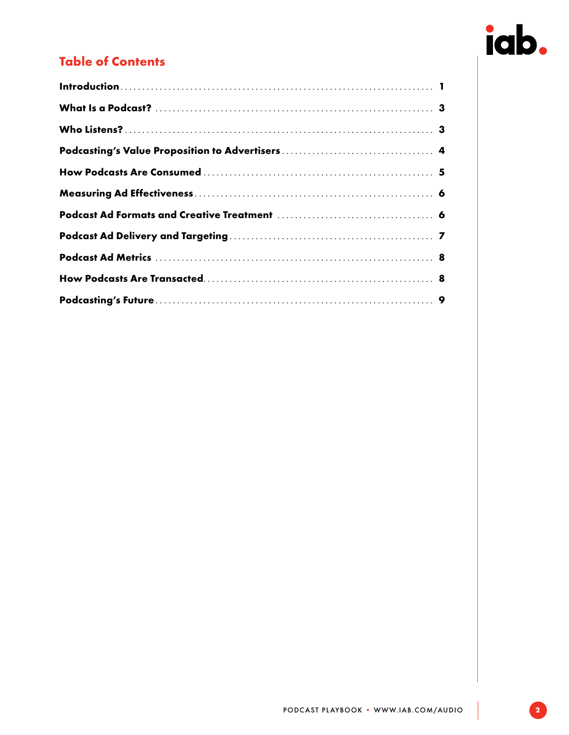# iab.

# Table of Contents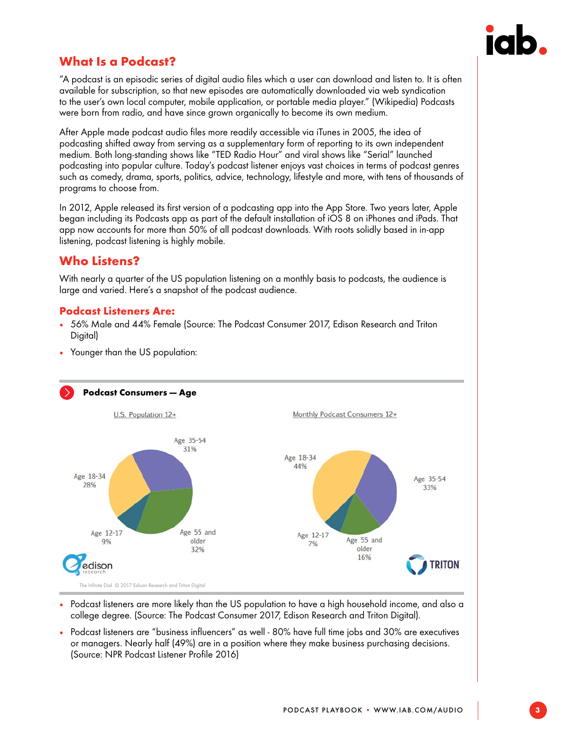

# <span id="page-3-0"></span>What Is a Podcast?

"A podcast is an episodic series of digital audio files which a user can download and listen to. It is often available for subscription, so that new episodes are automatically downloaded via web syndication to the user's own local computer, mobile application, or portable media player." (Wikipedia) Podcasts were born from radio, and have since grown organically to become its own medium.

After Apple made podcast audio files more readily accessible via iTunes in 2005, the idea of podcasting shifted away from serving as a supplementary form of reporting to its own independent medium. Both long-standing shows like "TED Radio Hour" and viral shows like "Serial" launched podcasting into popular culture. Today's podcast listener enjoys vast choices in terms of podcast genres such as comedy, drama, sports, politics, advice, technology, lifestyle and more, with tens of thousands of programs to choose from.

In 2012, Apple released its first version of a podcasting app into the App Store. Two years later, Apple began including its Podcasts app as part of the default installation of iOS 8 on iPhones and iPads. That app now accounts for more than 50% of all podcast downloads. With roots solidly based in in-app listening, podcast listening is highly mobile.

# Who Listens?

With nearly a quarter of the US population listening on a monthly basis to podcasts, the audience is large and varied. Here's a snapshot of the podcast audience.

#### Podcast Listeners Are:

- 56% Male and 44% Female (Source: The Podcast Consumer 2017, Edison Research and Triton Digital)
- Younger than the US population:



- Podcast listeners are more likely than the US population to have a high household income, and also a college degree. (Source: The Podcast Consumer 2017, Edison Research and Triton Digital).
- Podcast listeners are "business influencers" as well 80% have full time jobs and 30% are executives or managers. Nearly half (49%) are in a position where they make business purchasing decisions. (Source: NPR Podcast Listener Profile 2016)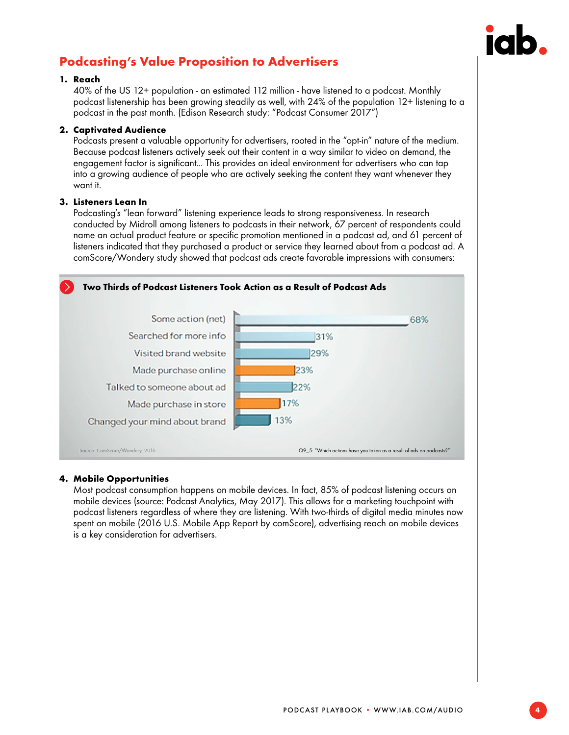

# <span id="page-4-0"></span>Podcasting's Value Proposition to Advertisers

#### 1. Reach

40% of the US 12+ population - an estimated 112 million - have listened to a podcast. Monthly podcast listenership has been growing steadily as well, with 24% of the population 12+ listening to a podcast in the past month. (Edison Research study: "Podcast Consumer 2017")

#### 2. Captivated Audience

Podcasts present a valuable opportunity for advertisers, rooted in the "opt-in" nature of the medium. Because podcast listeners actively seek out their content in a way similar to video on demand, the engagement factor is significant... This provides an ideal environment for advertisers who can tap into a growing audience of people who are actively seeking the content they want whenever they want it.

#### 3. Listeners Lean In

Podcasting's "lean forward" listening experience leads to strong responsiveness. In research conducted by Midroll among listeners to podcasts in their network, 67 percent of respondents could name an actual product feature or specific promotion mentioned in a podcast ad, and 61 percent of listeners indicated that they purchased a product or service they learned about from a podcast ad. A comScore/Wondery study showed that podcast ads create favorable impressions with consumers:



#### 4. Mobile Opportunities

Most podcast consumption happens on mobile devices. In fact, 85% of podcast listening occurs on mobile devices (source: Podcast Analytics, May 2017). This allows for a marketing touchpoint with podcast listeners regardless of where they are listening. With two-thirds of digital media minutes now spent on mobile (2016 U.S. Mobile App Report by comScore), advertising reach on mobile devices is a key consideration for advertisers.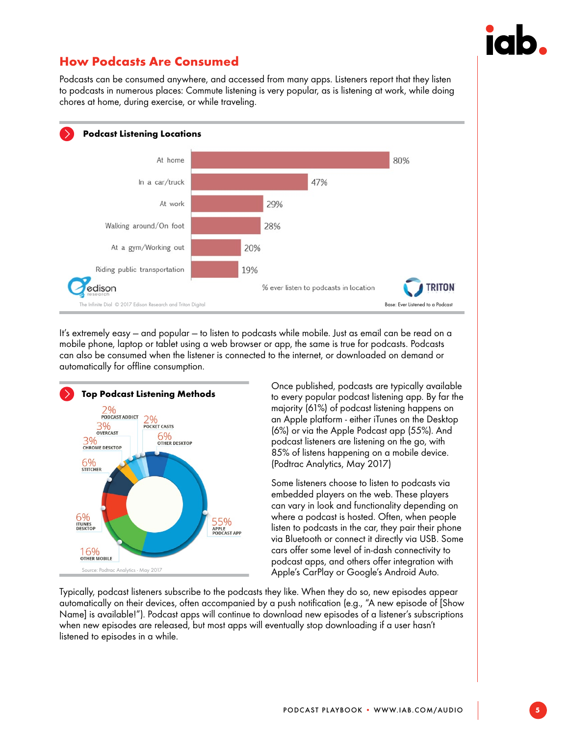

# <span id="page-5-0"></span>How Podcasts Are Consumed

Podcasts can be consumed anywhere, and accessed from many apps. Listeners report that they listen to podcasts in numerous places: Commute listening is very popular, as is listening at work, while doing chores at home, during exercise, or while traveling.



It's extremely easy — and popular — to listen to podcasts while mobile. Just as email can be read on a mobile phone, laptop or tablet using a web browser or app, the same is true for podcasts. Podcasts can also be consumed when the listener is connected to the internet, or downloaded on demand or automatically for offline consumption.



Once published, podcasts are typically available to every popular podcast listening app. By far the majority (61%) of podcast listening happens on an Apple platform - either iTunes on the Desktop (6%) or via the Apple Podcast app (55%). And podcast listeners are listening on the go, with 85% of listens happening on a mobile device. (Podtrac Analytics, May 2017)

Some listeners choose to listen to podcasts via embedded players on the web. These players can vary in look and functionality depending on where a podcast is hosted. Often, when people listen to podcasts in the car, they pair their phone via Bluetooth or connect it directly via USB. Some cars offer some level of in-dash connectivity to podcast apps, and others offer integration with Apple's CarPlay or Google's Android Auto.

Typically, podcast listeners subscribe to the podcasts they like. When they do so, new episodes appear automatically on their devices, often accompanied by a push notification (e.g., "A new episode of [Show Name] is available!"). Podcast apps will continue to download new episodes of a listener's subscriptions when new episodes are released, but most apps will eventually stop downloading if a user hasn't listened to episodes in a while.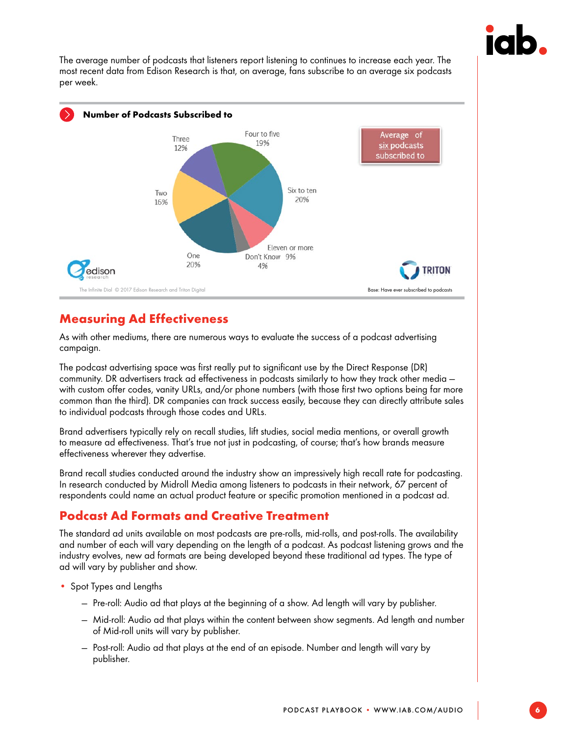

<span id="page-6-0"></span>The average number of podcasts that listeners report listening to continues to increase each year. The most recent data from Edison Research is that, on average, fans subscribe to an average six podcasts per week.



# Measuring Ad Effectiveness

As with other mediums, there are numerous ways to evaluate the success of a podcast advertising campaign.

The podcast advertising space was first really put to significant use by the Direct Response (DR) community. DR advertisers track ad effectiveness in podcasts similarly to how they track other media with custom offer codes, vanity URLs, and/or phone numbers (with those first two options being far more common than the third). DR companies can track success easily, because they can directly attribute sales to individual podcasts through those codes and URLs.

Brand advertisers typically rely on recall studies, lift studies, social media mentions, or overall growth to measure ad effectiveness. That's true not just in podcasting, of course; that's how brands measure effectiveness wherever they advertise.

Brand recall studies conducted around the industry show an impressively high recall rate for podcasting. In research conducted by Midroll Media among listeners to podcasts in their network, 67 percent of respondents could name an actual product feature or specific promotion mentioned in a podcast ad.

# Podcast Ad Formats and Creative Treatment

The standard ad units available on most podcasts are pre-rolls, mid-rolls, and post-rolls. The availability and number of each will vary depending on the length of a podcast. As podcast listening grows and the industry evolves, new ad formats are being developed beyond these traditional ad types. The type of ad will vary by publisher and show.

- Spot Types and Lengths
	- Pre-roll: Audio ad that plays at the beginning of a show. Ad length will vary by publisher.
	- Mid-roll: Audio ad that plays within the content between show segments. Ad length and number of Mid-roll units will vary by publisher.
	- Post-roll: Audio ad that plays at the end of an episode. Number and length will vary by publisher.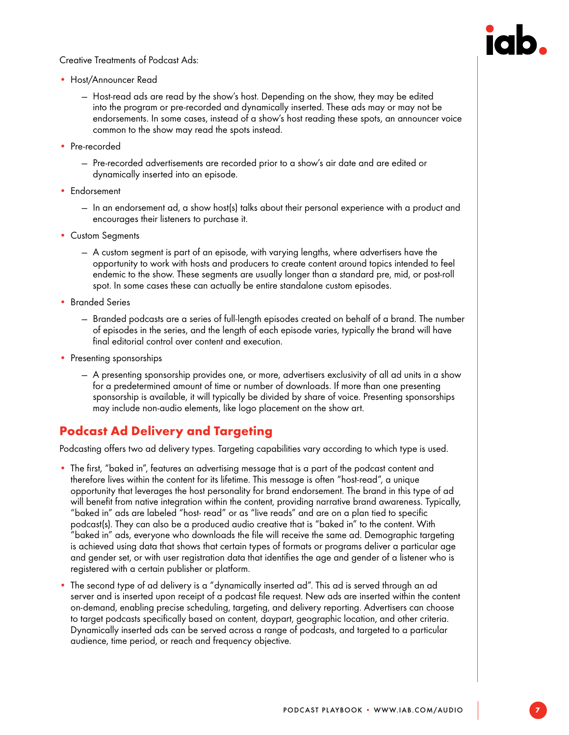<span id="page-7-0"></span>Creative Treatments of Podcast Ads:



- Host/Announcer Read
	- Host-read ads are read by the show's host. Depending on the show, they may be edited into the program or pre-recorded and dynamically inserted. These ads may or may not be endorsements. In some cases, instead of a show's host reading these spots, an announcer voice common to the show may read the spots instead.
- Pre-recorded
	- Pre-recorded advertisements are recorded prior to a show's air date and are edited or dynamically inserted into an episode.
- Endorsement
	- In an endorsement ad, a show host(s) talks about their personal experience with a product and encourages their listeners to purchase it.
- Custom Segments
	- A custom segment is part of an episode, with varying lengths, where advertisers have the opportunity to work with hosts and producers to create content around topics intended to feel endemic to the show. These segments are usually longer than a standard pre, mid, or post-roll spot. In some cases these can actually be entire standalone custom episodes.
- Branded Series
	- Branded podcasts are a series of full-length episodes created on behalf of a brand. The number of episodes in the series, and the length of each episode varies, typically the brand will have final editorial control over content and execution.
- Presenting sponsorships
	- A presenting sponsorship provides one, or more, advertisers exclusivity of all ad units in a show for a predetermined amount of time or number of downloads. If more than one presenting sponsorship is available, it will typically be divided by share of voice. Presenting sponsorships may include non-audio elements, like logo placement on the show art.

# Podcast Ad Delivery and Targeting

Podcasting offers two ad delivery types. Targeting capabilities vary according to which type is used.

- The first, "baked in", features an advertising message that is a part of the podcast content and therefore lives within the content for its lifetime. This message is often "host-read", a unique opportunity that leverages the host personality for brand endorsement. The brand in this type of ad will benefit from native integration within the content, providing narrative brand awareness. Typically, "baked in" ads are labeled "host- read" or as "live reads" and are on a plan tied to specific podcast(s). They can also be a produced audio creative that is "baked in" to the content. With "baked in" ads, everyone who downloads the file will receive the same ad. Demographic targeting is achieved using data that shows that certain types of formats or programs deliver a particular age and gender set, or with user registration data that identifies the age and gender of a listener who is registered with a certain publisher or platform.
- The second type of ad delivery is a "dynamically inserted ad". This ad is served through an ad server and is inserted upon receipt of a podcast file request. New ads are inserted within the content on-demand, enabling precise scheduling, targeting, and delivery reporting. Advertisers can choose to target podcasts specifically based on content, daypart, geographic location, and other criteria. Dynamically inserted ads can be served across a range of podcasts, and targeted to a particular audience, time period, or reach and frequency objective.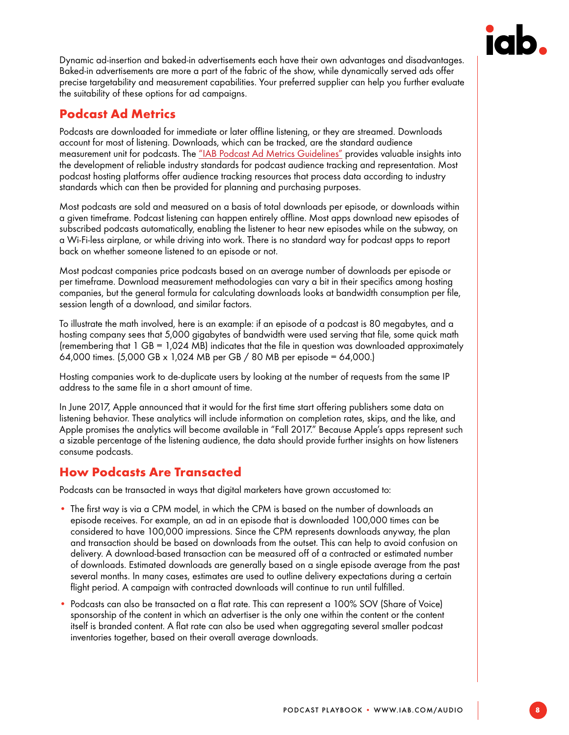

<span id="page-8-0"></span>Dynamic ad-insertion and baked-in advertisements each have their own advantages and disadvantages. Baked-in advertisements are more a part of the fabric of the show, while dynamically served ads offer precise targetability and measurement capabilities. Your preferred supplier can help you further evaluate the suitability of these options for ad campaigns.

# Podcast Ad Metrics

Podcasts are downloaded for immediate or later offline listening, or they are streamed. Downloads account for most of listening. Downloads, which can be tracked, are the standard audience measurement unit for podcasts. The ["IAB Podcast Ad Metrics Guidelines"](https://iabtechlab.com/wp-content/uploads/2016/07/Podcast-Metrics_September_2016.pdf) provides valuable insights into the development of reliable industry standards for podcast audience tracking and representation. Most podcast hosting platforms offer audience tracking resources that process data according to industry standards which can then be provided for planning and purchasing purposes.

Most podcasts are sold and measured on a basis of total downloads per episode, or downloads within a given timeframe. Podcast listening can happen entirely offline. Most apps download new episodes of subscribed podcasts automatically, enabling the listener to hear new episodes while on the subway, on a Wi-Fi-less airplane, or while driving into work. There is no standard way for podcast apps to report back on whether someone listened to an episode or not.

Most podcast companies price podcasts based on an average number of downloads per episode or per timeframe. Download measurement methodologies can vary a bit in their specifics among hosting companies, but the general formula for calculating downloads looks at bandwidth consumption per file, session length of a download, and similar factors.

To illustrate the math involved, here is an example: if an episode of a podcast is 80 megabytes, and a hosting company sees that 5,000 gigabytes of bandwidth were used serving that file, some quick math (remembering that 1 GB = 1,024 MB) indicates that the file in question was downloaded approximately 64,000 times. (5,000 GB x 1,024 MB per GB / 80 MB per episode = 64,000.)

Hosting companies work to de-duplicate users by looking at the number of requests from the same IP address to the same file in a short amount of time.

In June 2017, Apple announced that it would for the first time start offering publishers some data on listening behavior. These analytics will include information on completion rates, skips, and the like, and Apple promises the analytics will become available in "Fall 2017." Because Apple's apps represent such a sizable percentage of the listening audience, the data should provide further insights on how listeners consume podcasts.

# How Podcasts Are Transacted

Podcasts can be transacted in ways that digital marketers have grown accustomed to:

- The first way is via a CPM model, in which the CPM is based on the number of downloads an episode receives. For example, an ad in an episode that is downloaded 100,000 times can be considered to have 100,000 impressions. Since the CPM represents downloads anyway, the plan and transaction should be based on downloads from the outset. This can help to avoid confusion on delivery. A download-based transaction can be measured off of a contracted or estimated number of downloads. Estimated downloads are generally based on a single episode average from the past several months. In many cases, estimates are used to outline delivery expectations during a certain flight period. A campaign with contracted downloads will continue to run until fulfilled.
- Podcasts can also be transacted on a flat rate. This can represent a 100% SOV (Share of Voice) sponsorship of the content in which an advertiser is the only one within the content or the content itself is branded content. A flat rate can also be used when aggregating several smaller podcast inventories together, based on their overall average downloads.